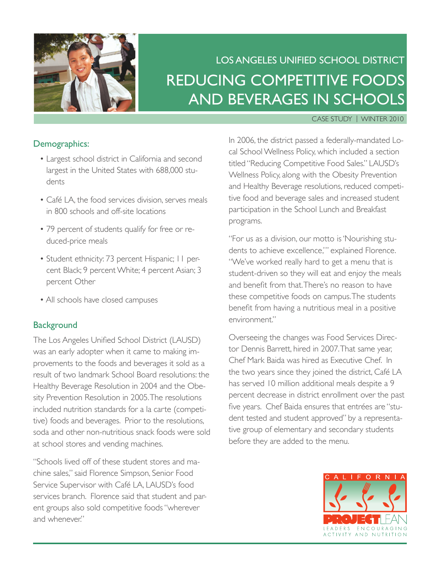

# Los Angeles Unified School District Reducing Competitive Foods and Beverages in Schools

#### Case Study | Winter 2010

### Demographics:

- Largest school district in California and second largest in the United States with 688,000 students
- Café LA, the food services division, serves meals in 800 schools and off-site locations
- 79 percent of students qualify for free or reduced-price meals
- Student ethnicity: 73 percent Hispanic; 11 percent Black; 9 percent White; 4 percent Asian; 3 percent Other
- All schools have closed campuses

### **Background**

The Los Angeles Unified School District (LAUSD) was an early adopter when it came to making improvements to the foods and beverages it sold as a result of two landmark School Board resolutions: the Healthy Beverage Resolution in 2004 and the Obesity Prevention Resolution in 2005. The resolutions included nutrition standards for a la carte (competitive) foods and beverages. Prior to the resolutions, soda and other non-nutritious snack foods were sold at school stores and vending machines.

"Schools lived off of these student stores and machine sales," said Florence Simpson, Senior Food Service Supervisor with Café LA, LAUSD's food services branch. Florence said that student and parent groups also sold competitive foods "wherever and whenever."

In 2006, the district passed a federally-mandated Local School Wellness Policy, which included a section titled "Reducing Competitive Food Sales." LAUSD's Wellness Policy, along with the Obesity Prevention and Healthy Beverage resolutions, reduced competitive food and beverage sales and increased student participation in the School Lunch and Breakfast programs.

"For us as a division, our motto is 'Nourishing students to achieve excellence,'" explained Florence. "We've worked really hard to get a menu that is student-driven so they will eat and enjoy the meals and benefit from that. There's no reason to have these competitive foods on campus. The students benefit from having a nutritious meal in a positive environment."

Overseeing the changes was Food Services Director Dennis Barrett, hired in 2007. That same year, Chef Mark Baida was hired as Executive Chef. In the two years since they joined the district, Café LA has served 10 million additional meals despite a 9 percent decrease in district enrollment over the past five years. Chef Baida ensures that entrées are "student tested and student approved" by a representative group of elementary and secondary students before they are added to the menu.

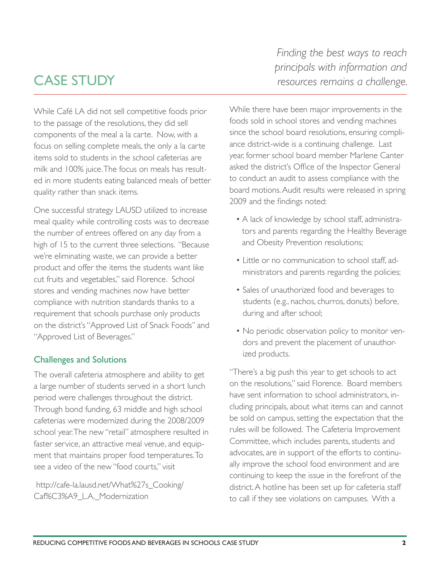## cAse stUDY

While Café LA did not sell competitive foods prior to the passage of the resolutions, they did sell components of the meal a la carte. Now, with a focus on selling complete meals, the only a la carte items sold to students in the school cafeterias are milk and 100% juice. The focus on meals has resulted in more students eating balanced meals of better quality rather than snack items.

One successful strategy LAUSD utilized to increase meal quality while controlling costs was to decrease the number of entrees offered on any day from a high of 15 to the current three selections. "Because we're eliminating waste, we can provide a better product and offer the items the students want like cut fruits and vegetables," said Florence. School stores and vending machines now have better compliance with nutrition standards thanks to a requirement that schools purchase only products on the district's "Approved List of Snack Foods" and "Approved List of Beverages."

### **Challenges and Solutions**

The overall cafeteria atmosphere and ability to get a large number of students served in a short lunch period were challenges throughout the district. Through bond funding, 63 middle and high school cafeterias were modernized during the 2008/2009 school year. The new "retail" atmosphere resulted in faster service, an attractive meal venue, and equipment that maintains proper food temperatures. To see a video of the new "food courts," visit

 http://cafe-la.lausd.net/What%27s\_Cooking/ Caf%C3%A9\_L.A.\_Modernization

*Finding the best ways to reach principals with information and resources remains a challenge.*

While there have been major improvements in the foods sold in school stores and vending machines since the school board resolutions, ensuring compliance district-wide is a continuing challenge. Last year, former school board member Marlene Canter asked the district's Office of the Inspector General to conduct an audit to assess compliance with the board motions. Audit results were released in spring 2009 and the findings noted:

- A lack of knowledge by school staff, administrators and parents regarding the Healthy Beverage and Obesity Prevention resolutions;
- Little or no communication to school staff, administrators and parents regarding the policies;
- Sales of unauthorized food and beverages to students (e.g., nachos, churros, donuts) before, during and after school;
- No periodic observation policy to monitor vendors and prevent the placement of unauthorized products.

"There's a big push this year to get schools to act on the resolutions," said Florence. Board members have sent information to school administrators, including principals, about what items can and cannot be sold on campus, setting the expectation that the rules will be followed. The Cafeteria Improvement Committee, which includes parents, students and advocates, are in support of the efforts to continually improve the school food environment and are continuing to keep the issue in the forefront of the district. A hotline has been set up for cafeteria staff to call if they see violations on campuses. With a